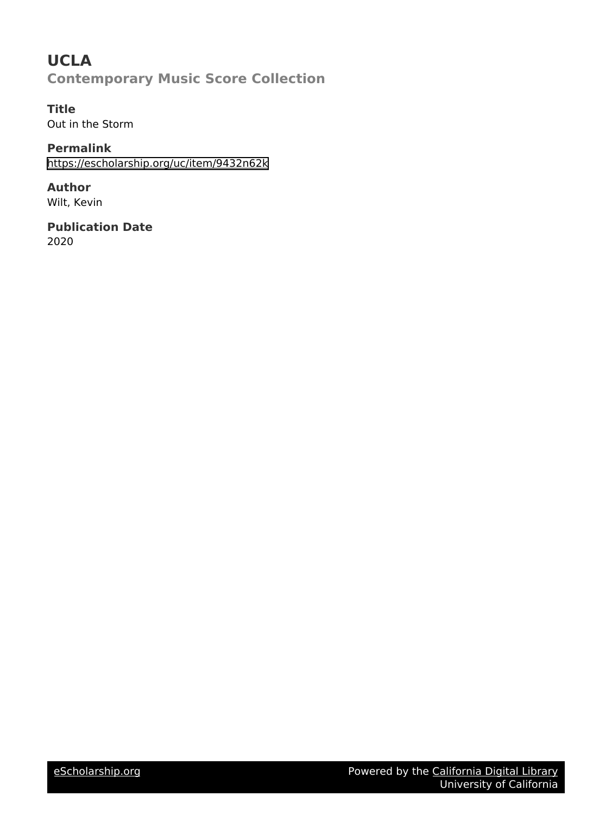## **UCLA**

**Contemporary Music Score Collection**

### **Title**

Out in the Storm

**Permalink** <https://escholarship.org/uc/item/9432n62k>

**Author** Wilt, Kevin

**Publication Date** 2020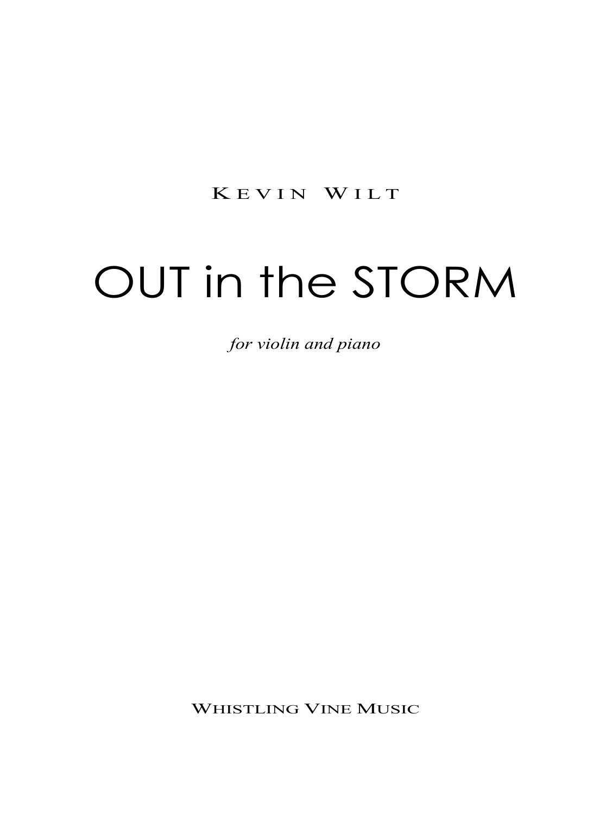### KEVIN WILT

# OUT in the STORM

for violin and piano

**WHISTLING VINE MUSIC**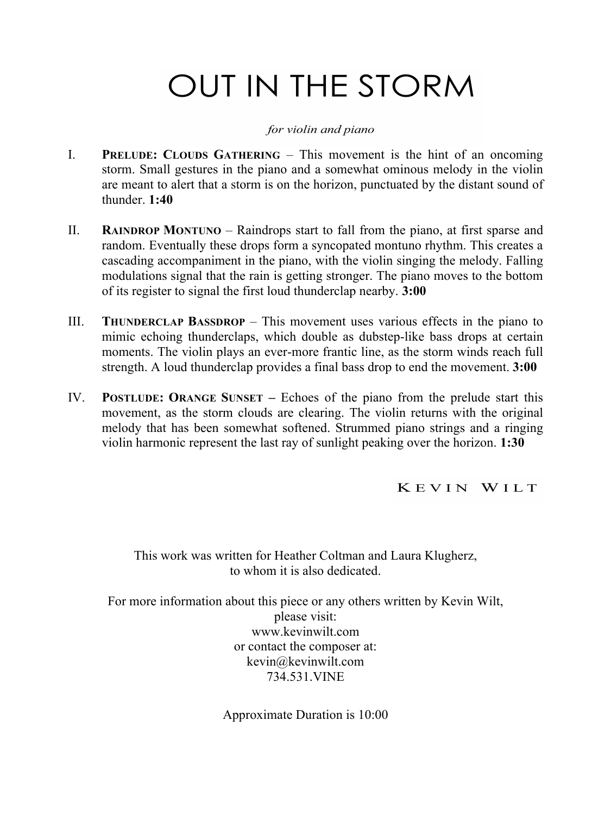## OUT IN THE STORM

#### for violin and piano

- I. **PRELUDE: CLOUDS GATHERING** This movement is the hint of an oncoming storm. Small gestures in the piano and a somewhat ominous melody in the violin are meant to alert that a storm is on the horizon, punctuated by the distant sound of thunder. **1:40**
- II. **RAINDROP MONTUNO** Raindrops start to fall from the piano, at first sparse and random. Eventually these drops form a syncopated montuno rhythm. This creates a cascading accompaniment in the piano, with the violin singing the melody. Falling modulations signal that the rain is getting stronger. The piano moves to the bottom of its register to signal the first loud thunderclap nearby. **3:00**
- III. **THUNDERCLAP BASSDROP** This movement uses various effects in the piano to mimic echoing thunderclaps, which double as dubstep-like bass drops at certain moments. The violin plays an ever-more frantic line, as the storm winds reach full strength. A loud thunderclap provides a final bass drop to end the movement. **3:00**
- IV. **POSTLUDE: ORANGE SUNSET –** Echoes of the piano from the prelude start this movement, as the storm clouds are clearing. The violin returns with the original melody that has been somewhat softened. Strummed piano strings and a ringing violin harmonic represent the last ray of sunlight peaking over the horizon. **1:30**

### KEVIN WILT

This work was written for Heather Coltman and Laura Klugherz, to whom it is also dedicated.

For more information about this piece or any others written by Kevin Wilt, please visit: www.kevinwilt.com or contact the composer at: kevin@kevinwilt.com 734.531.VINE

Approximate Duration is 10:00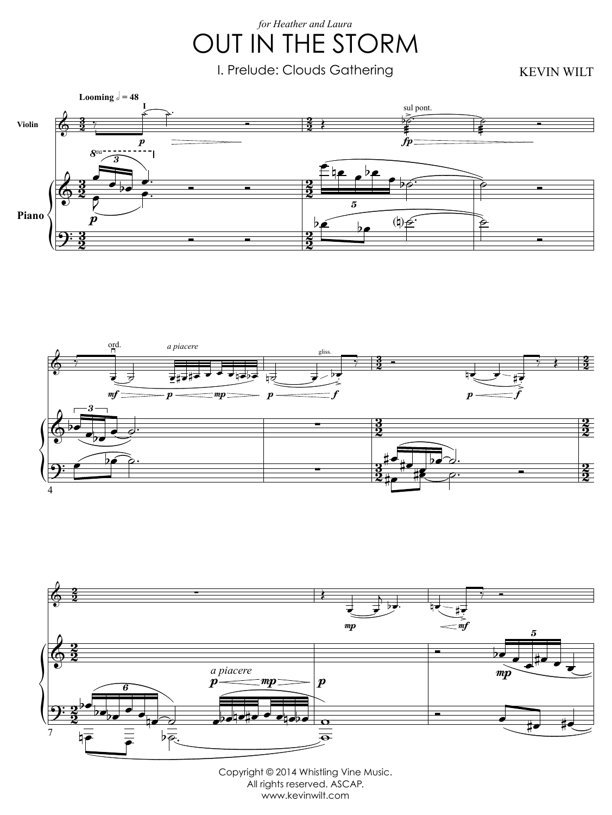# *for Heather and Laura*

I. Prelude: Clouds Gathering







Copyright © 2014 Whistling Vine Music. All rights reserved. ASCAP. www.kevinwilt.com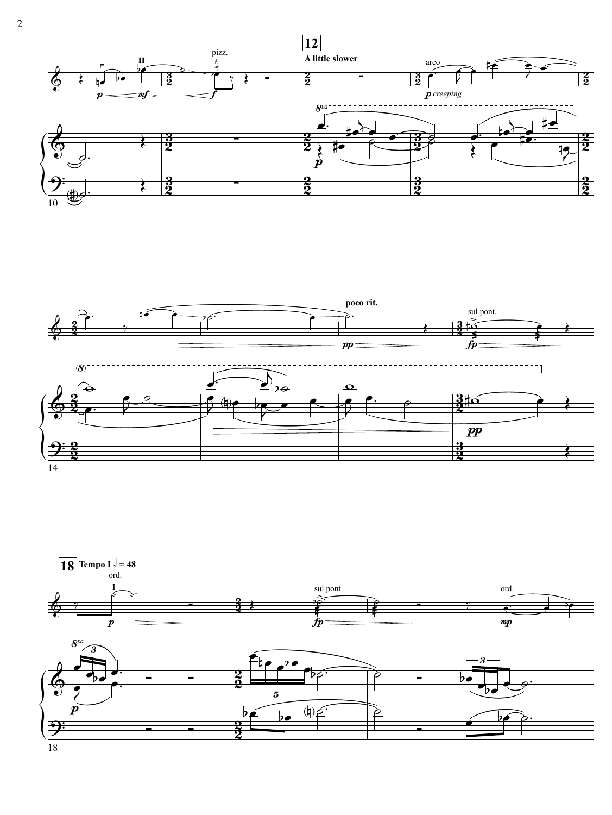



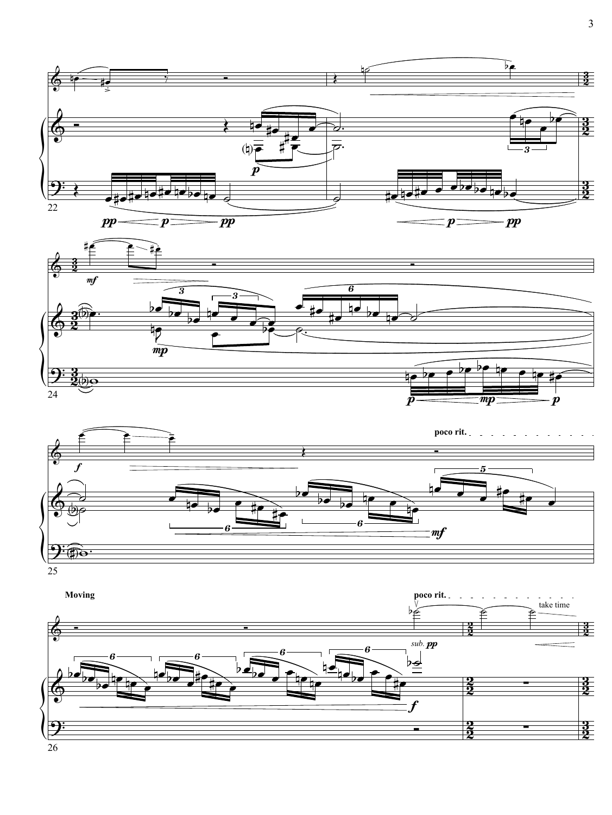





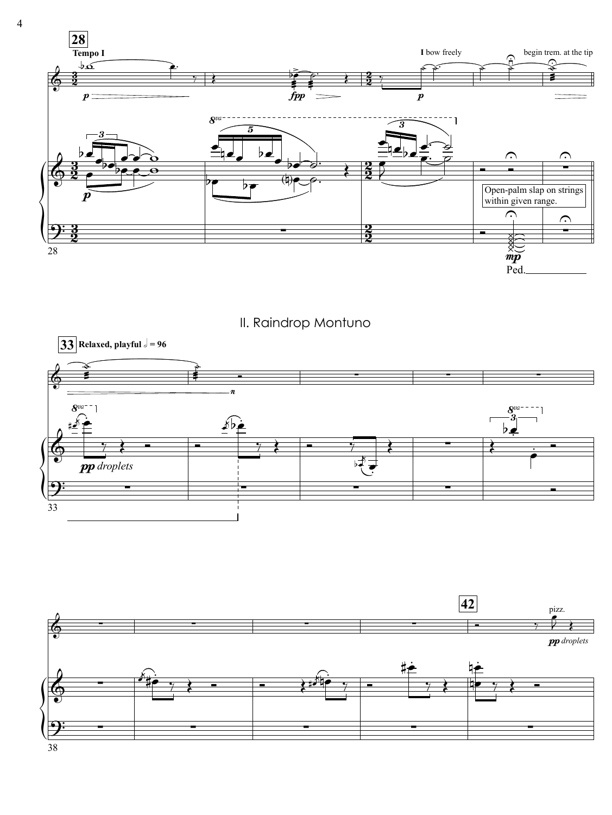





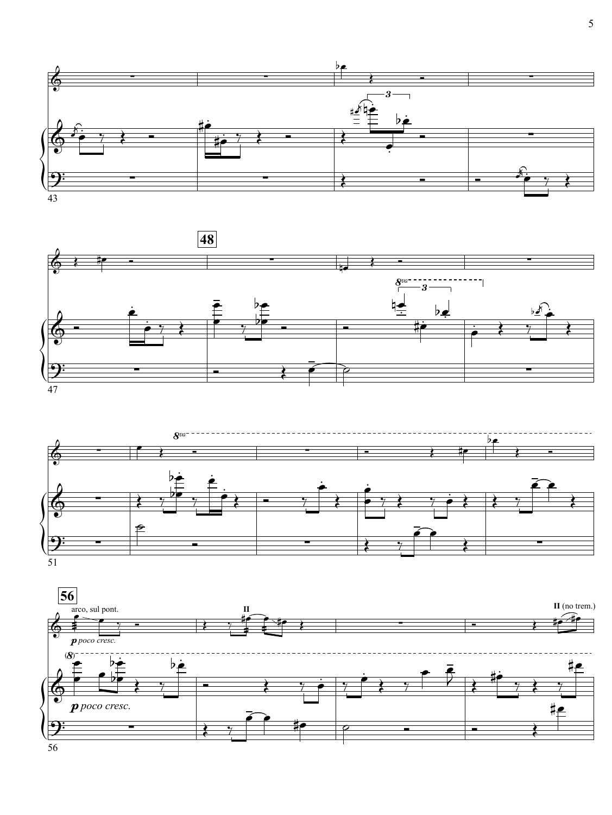





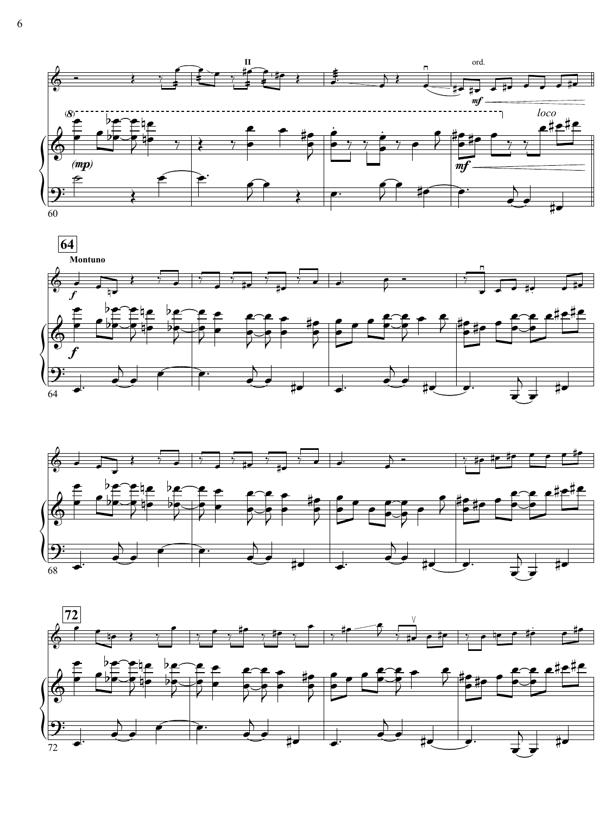







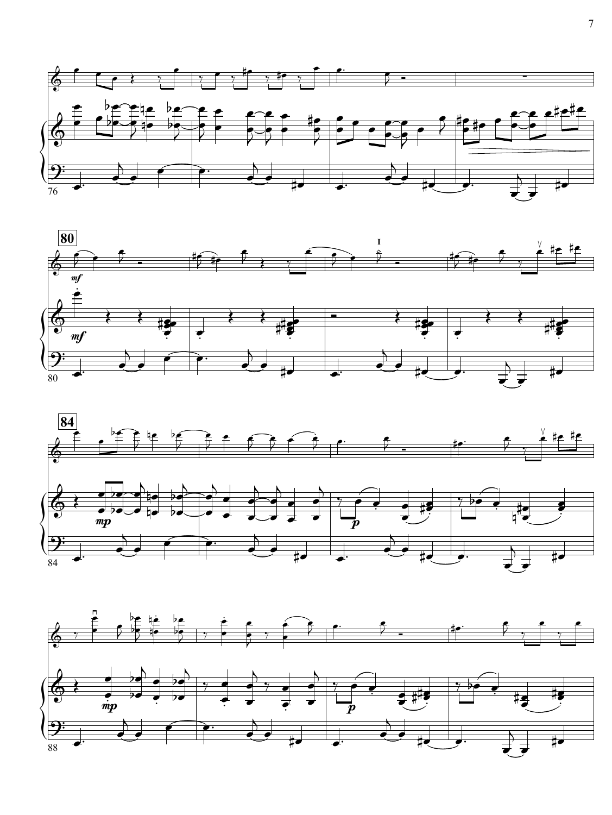





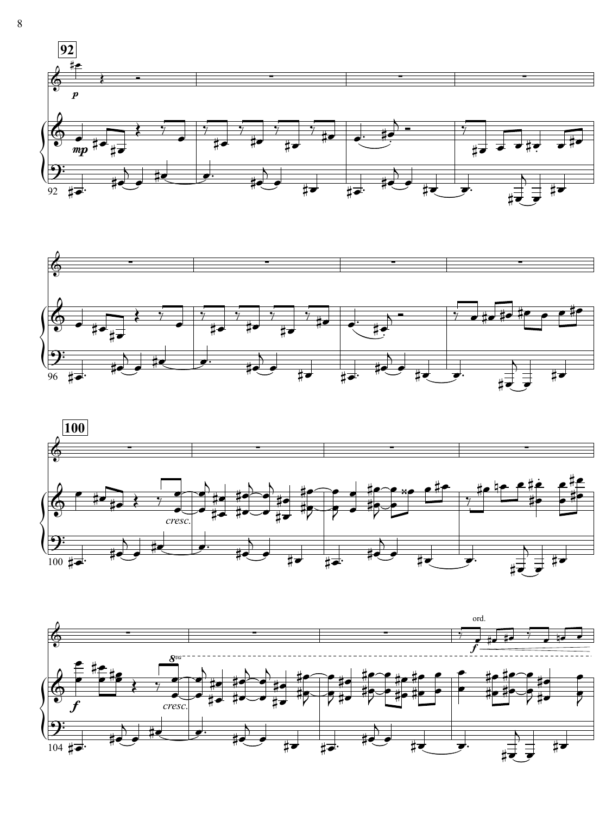





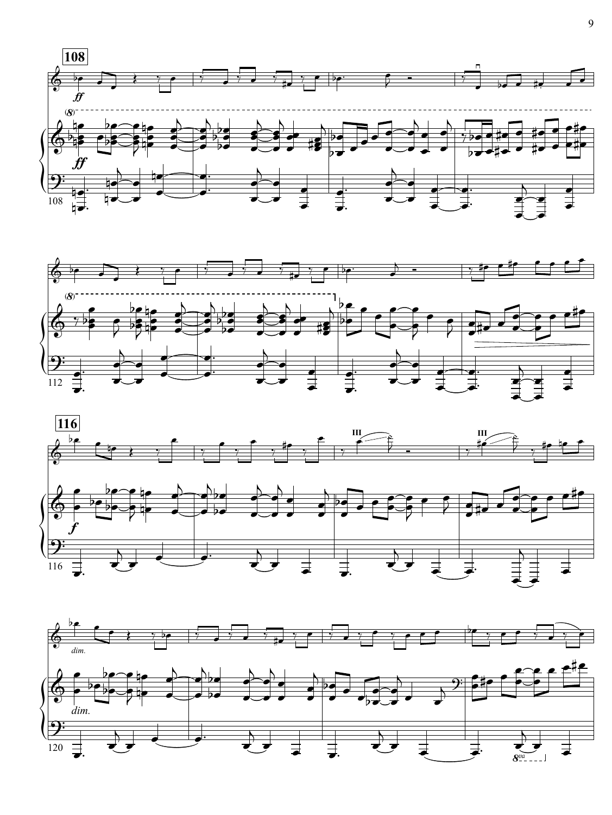





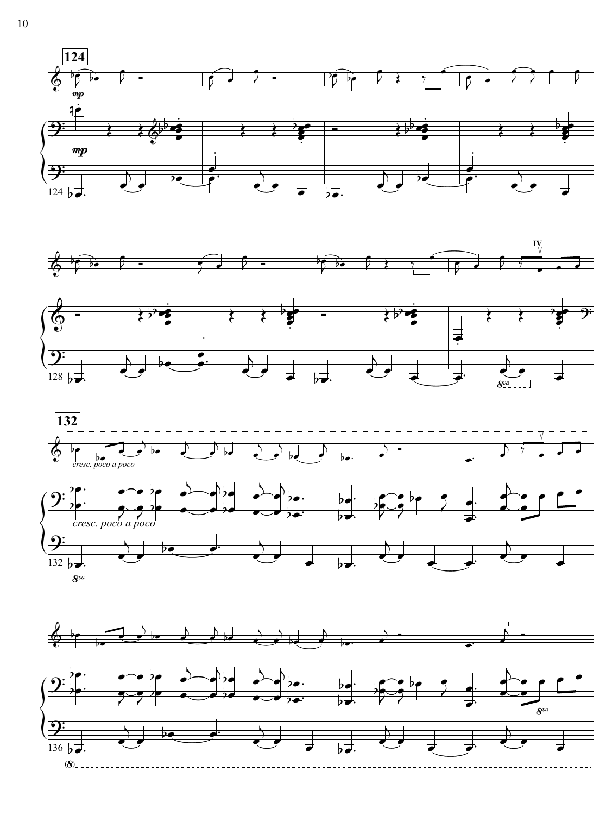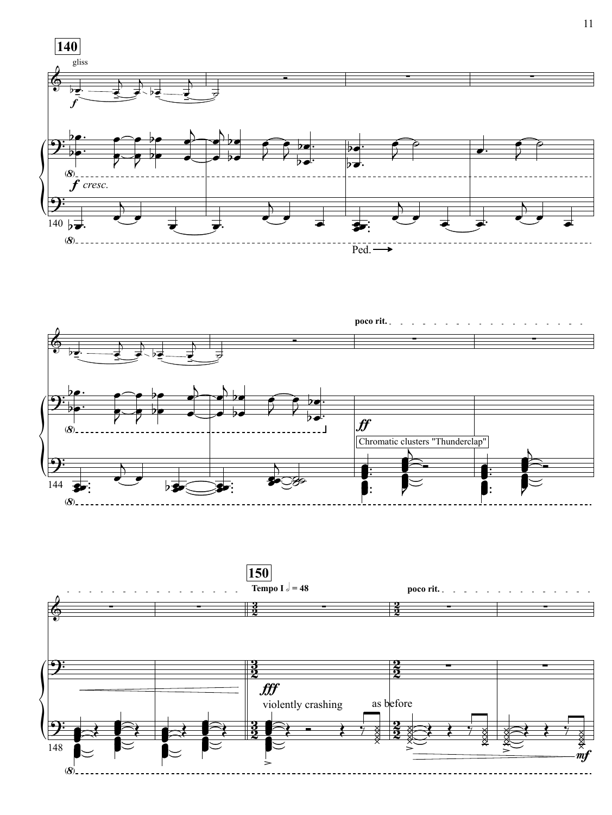

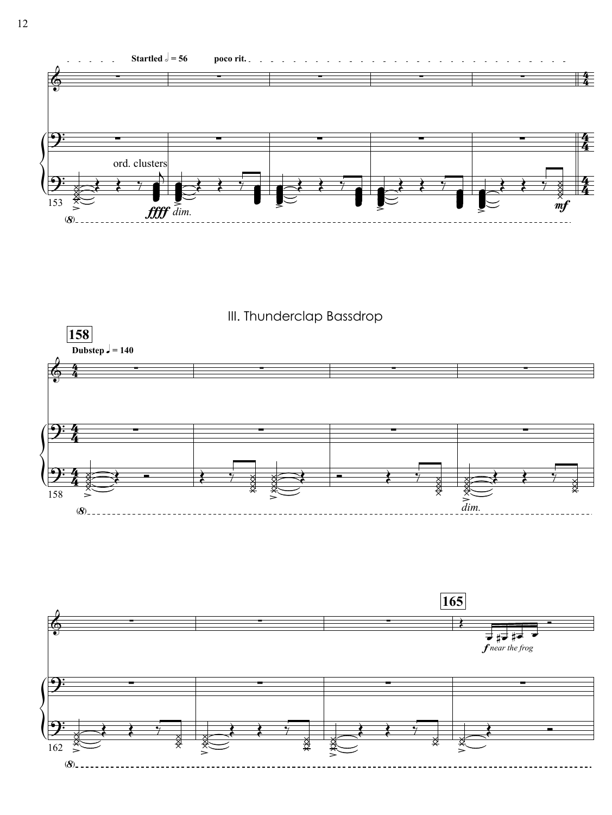

III. Thunderclap Bassdrop



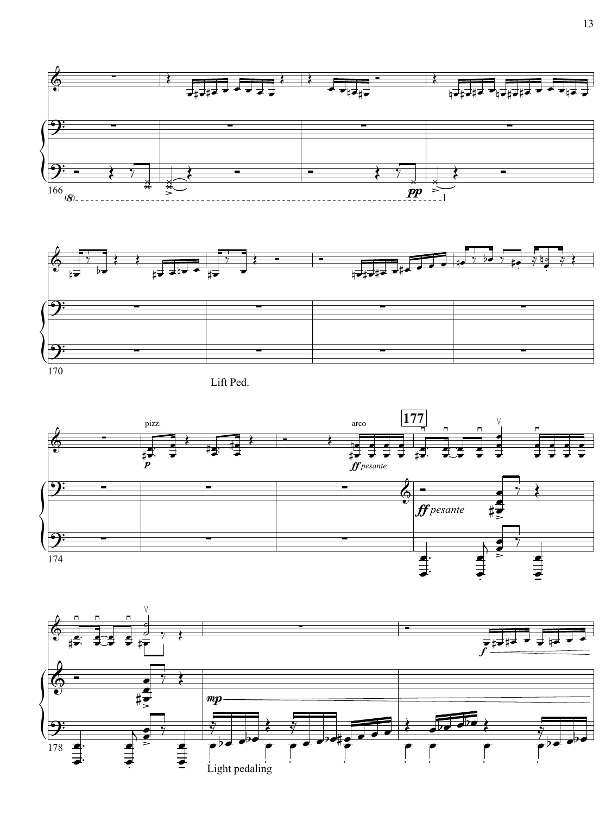







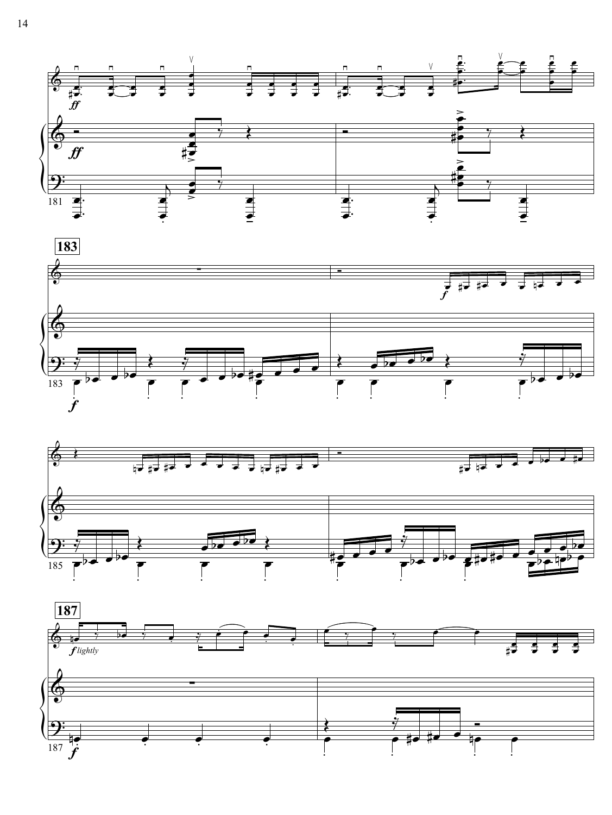





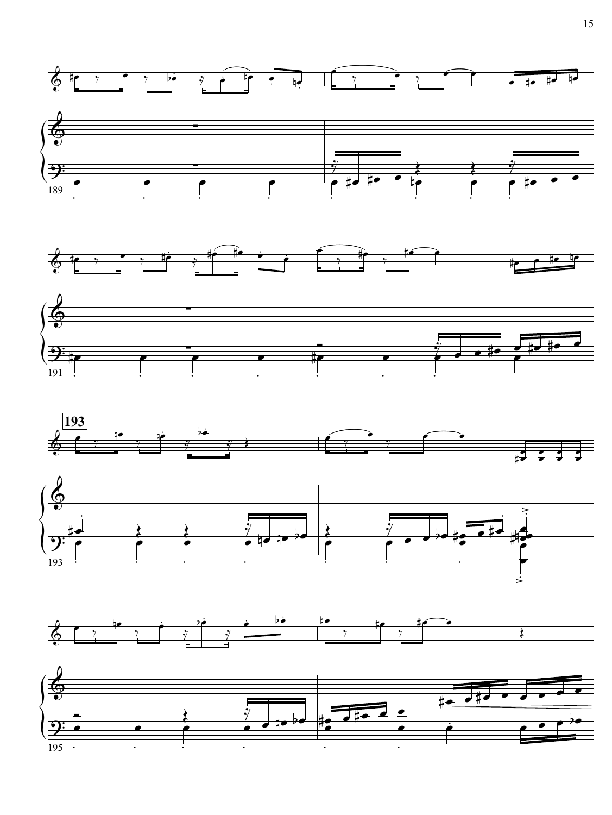





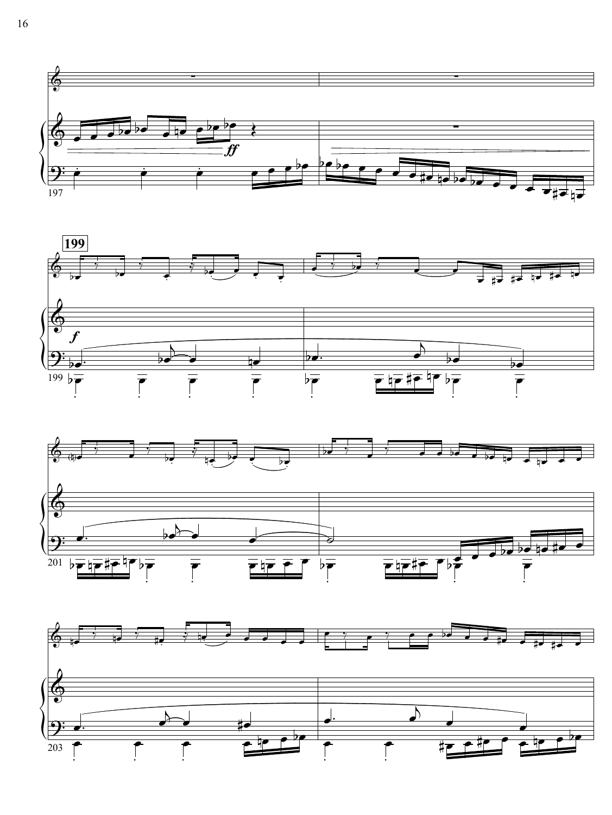





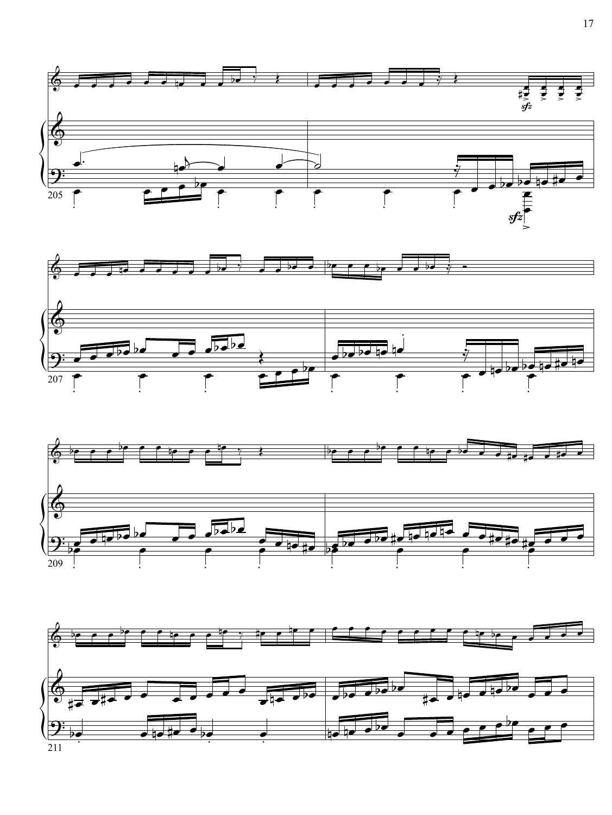





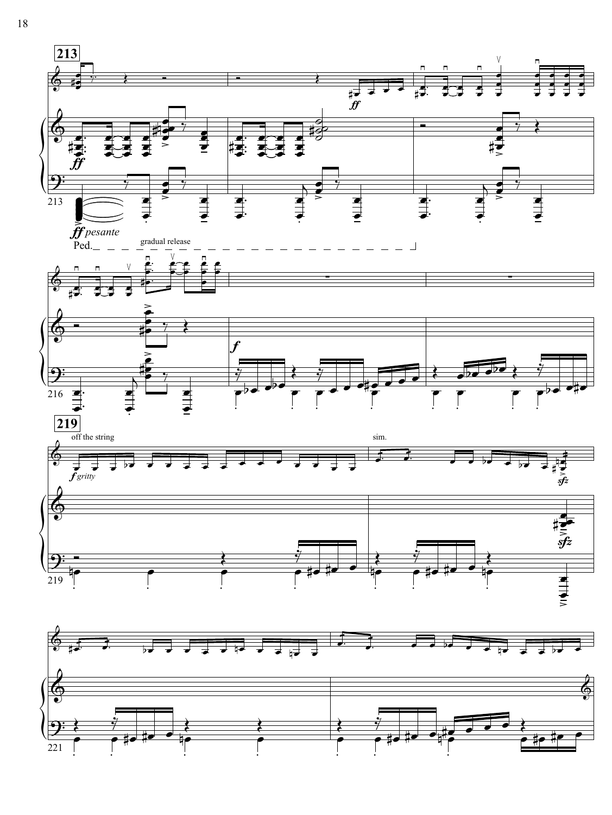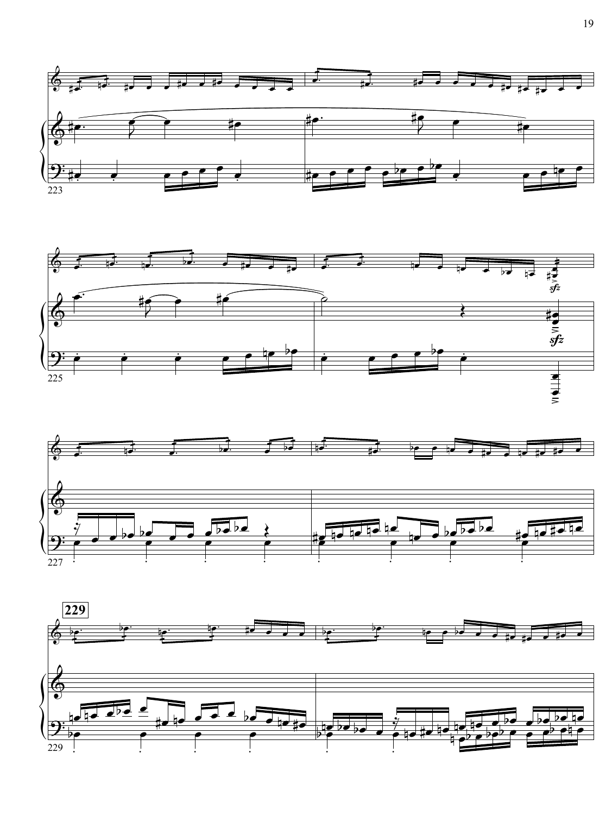





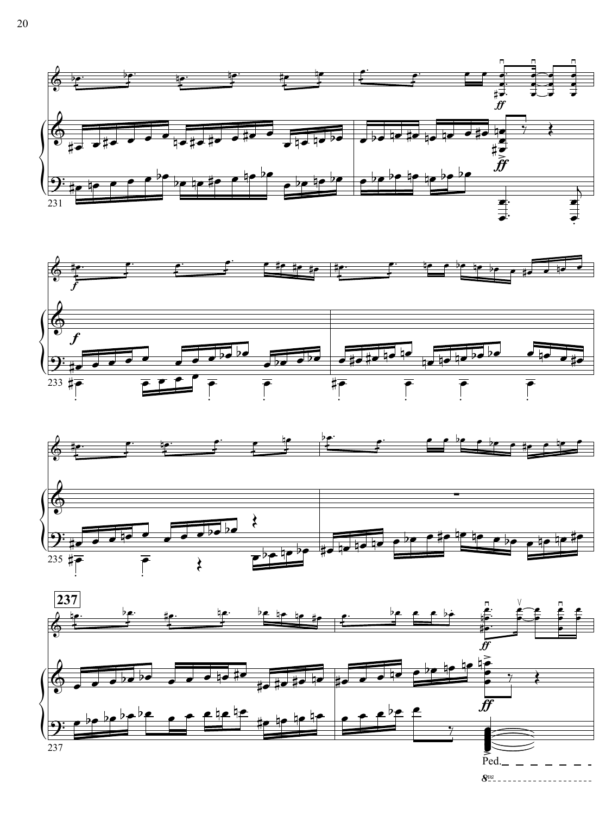





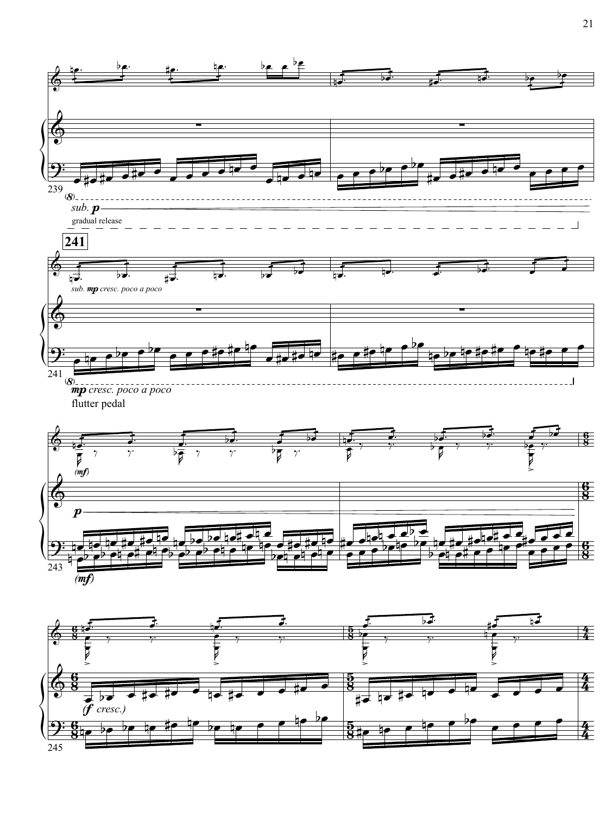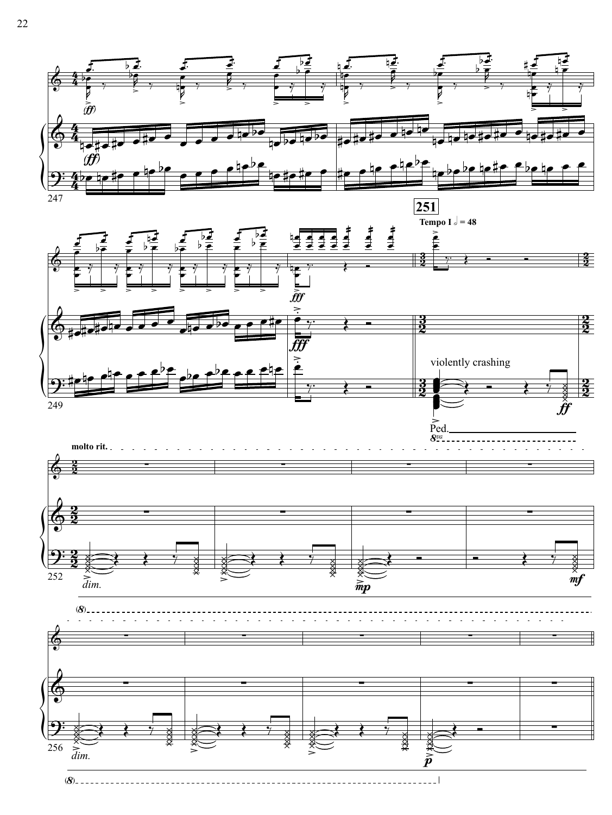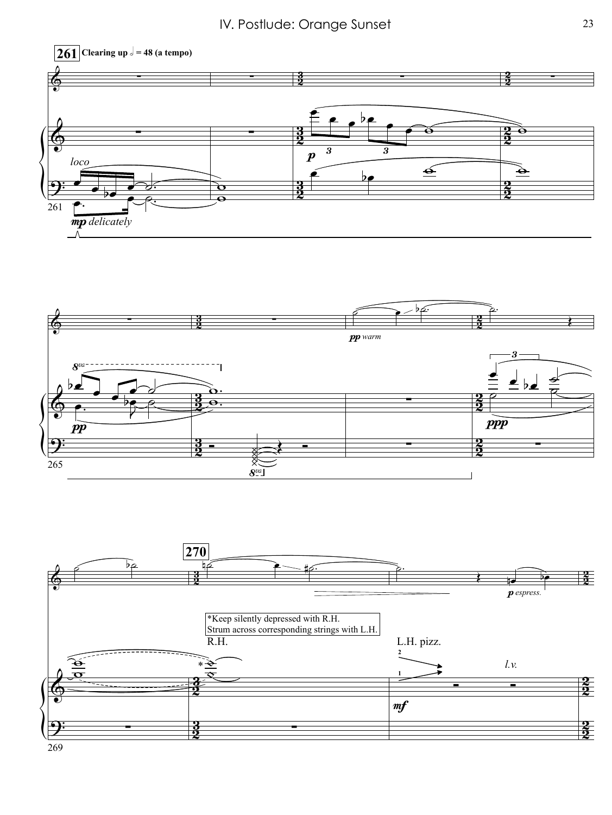